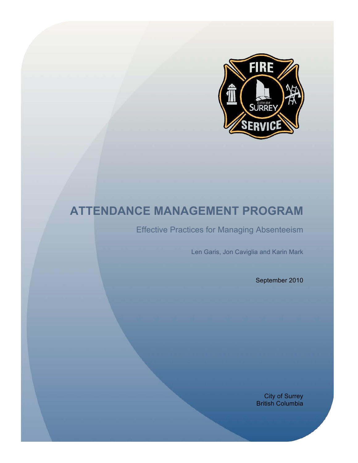

# **ATTENDANCE MANAGEMENT PROGRAM**

Effective Practices for Managing Absenteeism

Len Garis, Jon Caviglia and Karin Mark

September 2010

City of Surrey British Columbia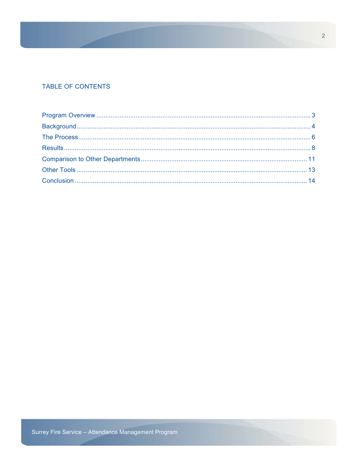## TABLE OF CONTENTS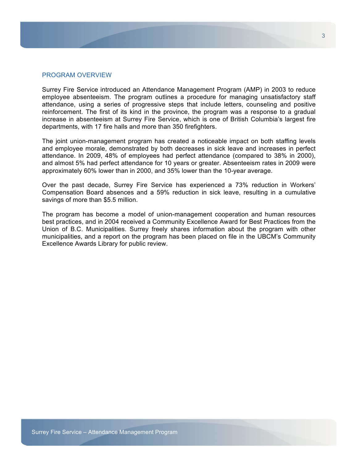#### PROGRAM OVERVIEW

Surrey Fire Service introduced an Attendance Management Program (AMP) in 2003 to reduce employee absenteeism. The program outlines a procedure for managing unsatisfactory staff attendance, using a series of progressive steps that include letters, counseling and positive reinforcement. The first of its kind in the province, the program was a response to a gradual increase in absenteeism at Surrey Fire Service, which is one of British Columbia's largest fire departments, with 17 fire halls and more than 350 firefighters.

The joint union-management program has created a noticeable impact on both staffing levels and employee morale, demonstrated by both decreases in sick leave and increases in perfect attendance. In 2009, 48% of employees had perfect attendance (compared to 38% in 2000), and almost 5% had perfect attendance for 10 years or greater. Absenteeism rates in 2009 were approximately 60% lower than in 2000, and 35% lower than the 10-year average.

Over the past decade, Surrey Fire Service has experienced a 73% reduction in Workers' Compensation Board absences and a 59% reduction in sick leave, resulting in a cumulative savings of more than \$5.5 million.

The program has become a model of union-management cooperation and human resources best practices, and in 2004 received a Community Excellence Award for Best Practices from the Union of B.C. Municipalities. Surrey freely shares information about the program with other municipalities, and a report on the program has been placed on file in the UBCM's Community Excellence Awards Library for public review.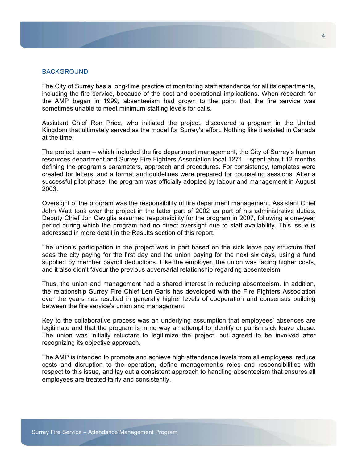## BACKGROUND

The City of Surrey has a long-time practice of monitoring staff attendance for all its departments, including the fire service, because of the cost and operational implications. When research for the AMP began in 1999, absenteeism had grown to the point that the fire service was sometimes unable to meet minimum staffing levels for calls.

Assistant Chief Ron Price, who initiated the project, discovered a program in the United Kingdom that ultimately served as the model for Surrey's effort. Nothing like it existed in Canada at the time.

The project team – which included the fire department management, the City of Surrey's human resources department and Surrey Fire Fighters Association local 1271 – spent about 12 months defining the program's parameters, approach and procedures. For consistency, templates were created for letters, and a format and guidelines were prepared for counseling sessions. After a successful pilot phase, the program was officially adopted by labour and management in August 2003.

Oversight of the program was the responsibility of fire department management. Assistant Chief John Watt took over the project in the latter part of 2002 as part of his administrative duties. Deputy Chief Jon Caviglia assumed responsibility for the program in 2007, following a one-year period during which the program had no direct oversight due to staff availability. This issue is addressed in more detail in the Results section of this report.

The union's participation in the project was in part based on the sick leave pay structure that sees the city paying for the first day and the union paying for the next six days, using a fund supplied by member payroll deductions. Like the employer, the union was facing higher costs, and it also didn't favour the previous adversarial relationship regarding absenteeism.

Thus, the union and management had a shared interest in reducing absenteeism. In addition, the relationship Surrey Fire Chief Len Garis has developed with the Fire Fighters Association over the years has resulted in generally higher levels of cooperation and consensus building between the fire service's union and management.

Key to the collaborative process was an underlying assumption that employees' absences are legitimate and that the program is in no way an attempt to identify or punish sick leave abuse. The union was initially reluctant to legitimize the project, but agreed to be involved after recognizing its objective approach.

The AMP is intended to promote and achieve high attendance levels from all employees, reduce costs and disruption to the operation, define management's roles and responsibilities with respect to this issue, and lay out a consistent approach to handling absenteeism that ensures all employees are treated fairly and consistently.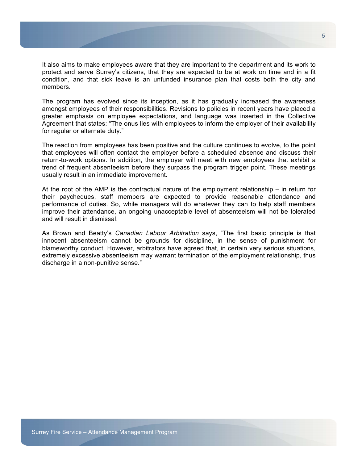It also aims to make employees aware that they are important to the department and its work to protect and serve Surrey's citizens, that they are expected to be at work on time and in a fit condition, and that sick leave is an unfunded insurance plan that costs both the city and members.

The program has evolved since its inception, as it has gradually increased the awareness amongst employees of their responsibilities. Revisions to policies in recent years have placed a greater emphasis on employee expectations, and language was inserted in the Collective Agreement that states: "The onus lies with employees to inform the employer of their availability for regular or alternate duty."

The reaction from employees has been positive and the culture continues to evolve, to the point that employees will often contact the employer before a scheduled absence and discuss their return-to-work options. In addition, the employer will meet with new employees that exhibit a trend of frequent absenteeism before they surpass the program trigger point. These meetings usually result in an immediate improvement.

At the root of the AMP is the contractual nature of the employment relationship – in return for their paycheques, staff members are expected to provide reasonable attendance and performance of duties. So, while managers will do whatever they can to help staff members improve their attendance, an ongoing unacceptable level of absenteeism will not be tolerated and will result in dismissal.

As Brown and Beatty's *Canadian Labour Arbitration* says, "The first basic principle is that innocent absenteeism cannot be grounds for discipline, in the sense of punishment for blameworthy conduct. However, arbitrators have agreed that, in certain very serious situations, extremely excessive absenteeism may warrant termination of the employment relationship, thus discharge in a non-punitive sense."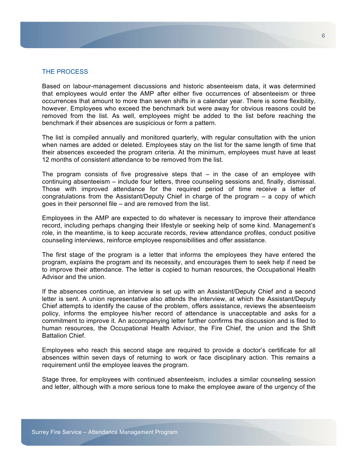## THE PROCESS

Based on labour-management discussions and historic absenteeism data, it was determined that employees would enter the AMP after either five occurrences of absenteeism or three occurrences that amount to more than seven shifts in a calendar year. There is some flexibility, however. Employees who exceed the benchmark but were away for obvious reasons could be removed from the list. As well, employees might be added to the list before reaching the benchmark if their absences are suspicious or form a pattern.

The list is compiled annually and monitored quarterly, with regular consultation with the union when names are added or deleted. Employees stay on the list for the same length of time that their absences exceeded the program criteria. At the minimum, employees must have at least 12 months of consistent attendance to be removed from the list.

The program consists of five progressive steps that – in the case of an employee with continuing absenteeism – include four letters, three counseling sessions and, finally, dismissal. Those with improved attendance for the required period of time receive a letter of congratulations from the Assistant/Deputy Chief in charge of the program – a copy of which goes in their personnel file – and are removed from the list.

Employees in the AMP are expected to do whatever is necessary to improve their attendance record, including perhaps changing their lifestyle or seeking help of some kind. Management's role, in the meantime, is to keep accurate records, review attendance profiles, conduct positive counseling interviews, reinforce employee responsibilities and offer assistance.

The first stage of the program is a letter that informs the employees they have entered the program, explains the program and its necessity, and encourages them to seek help if need be to improve their attendance. The letter is copied to human resources, the Occupational Health Advisor and the union.

If the absences continue, an interview is set up with an Assistant/Deputy Chief and a second letter is sent. A union representative also attends the interview, at which the Assistant/Deputy Chief attempts to identify the cause of the problem, offers assistance, reviews the absenteeism policy, informs the employee his/her record of attendance is unacceptable and asks for a commitment to improve it. An accompanying letter further confirms the discussion and is filed to human resources, the Occupational Health Advisor, the Fire Chief, the union and the Shift Battalion Chief.

Employees who reach this second stage are required to provide a doctor's certificate for all absences within seven days of returning to work or face disciplinary action. This remains a requirement until the employee leaves the program.

Stage three, for employees with continued absenteeism, includes a similar counseling session and letter, although with a more serious tone to make the employee aware of the urgency of the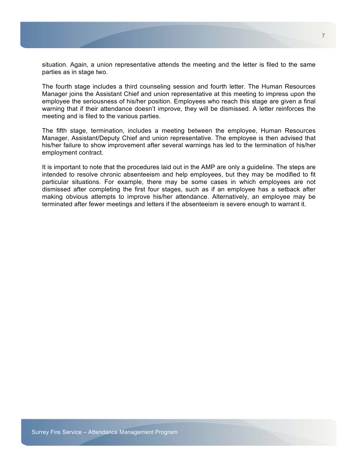situation. Again, a union representative attends the meeting and the letter is filed to the same parties as in stage two.

The fourth stage includes a third counseling session and fourth letter. The Human Resources Manager joins the Assistant Chief and union representative at this meeting to impress upon the employee the seriousness of his/her position. Employees who reach this stage are given a final warning that if their attendance doesn't improve, they will be dismissed. A letter reinforces the meeting and is filed to the various parties.

The fifth stage, termination, includes a meeting between the employee, Human Resources Manager, Assistant/Deputy Chief and union representative. The employee is then advised that his/her failure to show improvement after several warnings has led to the termination of his/her employment contract.

It is important to note that the procedures laid out in the AMP are only a guideline. The steps are intended to resolve chronic absenteeism and help employees, but they may be modified to fit particular situations. For example, there may be some cases in which employees are not dismissed after completing the first four stages, such as if an employee has a setback after making obvious attempts to improve his/her attendance. Alternatively, an employee may be terminated after fewer meetings and letters if the absenteeism is severe enough to warrant it.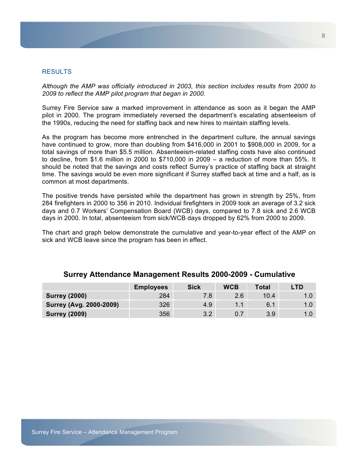## RESULTS

*Although the AMP was officially introduced in 2003, this section includes results from 2000 to 2009 to reflect the AMP pilot program that began in 2000.* 

Surrey Fire Service saw a marked improvement in attendance as soon as it began the AMP pilot in 2000. The program immediately reversed the department's escalating absenteeism of the 1990s, reducing the need for staffing back and new hires to maintain staffing levels.

As the program has become more entrenched in the department culture, the annual savings have continued to grow, more than doubling from \$416,000 in 2001 to \$908,000 in 2009, for a total savings of more than \$5.5 million. Absenteeism-related staffing costs have also continued to decline, from \$1.6 million in 2000 to \$710,000 in 2009 – a reduction of more than 55%. It should be noted that the savings and costs reflect Surrey's practice of staffing back at straight time. The savings would be even more significant if Surrey staffed back at time and a half, as is common at most departments.

The positive trends have persisted while the department has grown in strength by 25%, from 284 firefighters in 2000 to 356 in 2010. Individual firefighters in 2009 took an average of 3.2 sick days and 0.7 Workers' Compensation Board (WCB) days, compared to 7.8 sick and 2.6 WCB days in 2000. In total, absenteeism from sick/WCB days dropped by 62% from 2000 to 2009.

The chart and graph below demonstrate the cumulative and year-to-year effect of the AMP on sick and WCB leave since the program has been in effect.

|                                | <b>Employees</b> | <b>Sick</b> | <b>WCB</b> | <b>Total</b> | LTD |
|--------------------------------|------------------|-------------|------------|--------------|-----|
| <b>Surrey (2000)</b>           | 284              |             | 2.6        | 10.4         |     |
| <b>Surrey (Avg. 2000-2009)</b> | 326              | 4.9         | 1.1        | 6.1          |     |
| <b>Surrey (2009)</b>           | 356              | 32          |            | 3.9          |     |

## **Surrey Attendance Management Results 2000-2009 - Cumulative**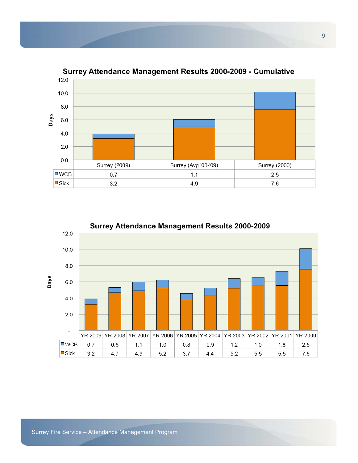

## Surrey Attendance Management Results 2000-2009 - Cumulative

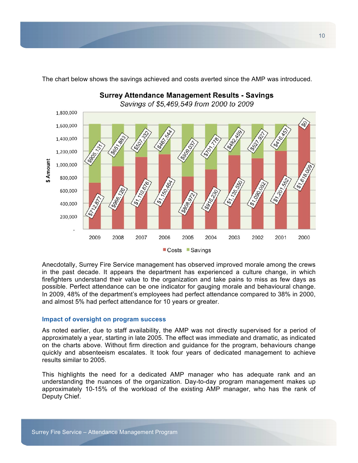

The chart below shows the savings achieved and costs averted since the AMP was introduced.

Anecdotally, Surrey Fire Service management has observed improved morale among the crews in the past decade. It appears the department has experienced a culture change, in which firefighters understand their value to the organization and take pains to miss as few days as possible. Perfect attendance can be one indicator for gauging morale and behavioural change. In 2009, 48% of the department's employees had perfect attendance compared to 38% in 2000, and almost 5% had perfect attendance for 10 years or greater.

#### **Impact of oversight on program success**

As noted earlier, due to staff availability, the AMP was not directly supervised for a period of approximately a year, starting in late 2005. The effect was immediate and dramatic, as indicated on the charts above. Without firm direction and guidance for the program, behaviours change quickly and absenteeism escalates. It took four years of dedicated management to achieve results similar to 2005.

This highlights the need for a dedicated AMP manager who has adequate rank and an understanding the nuances of the organization. Day-to-day program management makes up approximately 10-15% of the workload of the existing AMP manager, who has the rank of Deputy Chief.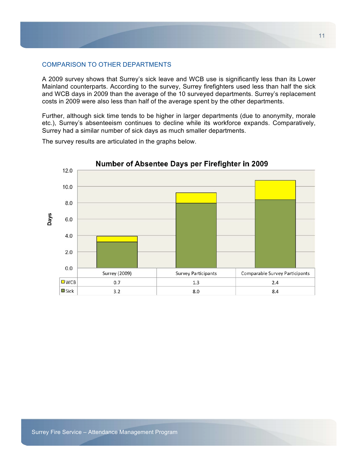## COMPARISON TO OTHER DEPARTMENTS

A 2009 survey shows that Surrey's sick leave and WCB use is significantly less than its Lower Mainland counterparts. According to the survey, Surrey firefighters used less than half the sick and WCB days in 2009 than the average of the 10 surveyed departments. Surrey's replacement costs in 2009 were also less than half of the average spent by the other departments.

Further, although sick time tends to be higher in larger departments (due to anonymity, morale etc.), Surrey's absenteeism continues to decline while its workforce expands. Comparatively, Surrey had a similar number of sick days as much smaller departments.

Number of Absentee Days per Firefighter in 2009 12.0 10.0 8.0 Days 6.0  $4.0$  $2.0$  $0.0$ **Surrey (2009) Survey Participants** Comparable Survey Participants  $\square$  WCB  $0.7$  $1.3$  $2.4$  $\square$  Sick  $3.2$ 8.0 8.4

The survey results are articulated in the graphs below.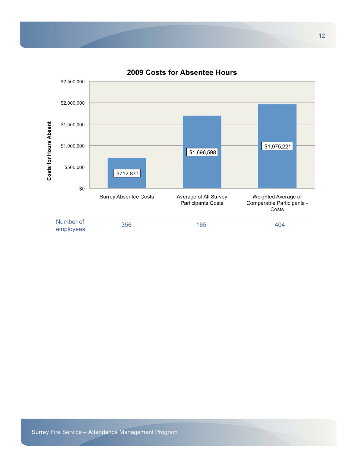

## 2009 Costs for Absentee Hours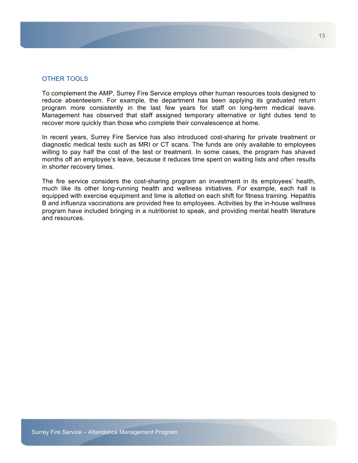## OTHER TOOLS

To complement the AMP, Surrey Fire Service employs other human resources tools designed to reduce absenteeism. For example, the department has been applying its graduated return program more consistently in the last few years for staff on long-term medical leave. Management has observed that staff assigned temporary alternative or light duties tend to recover more quickly than those who complete their convalescence at home.

In recent years, Surrey Fire Service has also introduced cost-sharing for private treatment or diagnostic medical tests such as MRI or CT scans. The funds are only available to employees willing to pay half the cost of the test or treatment. In some cases, the program has shaved months off an employee's leave, because it reduces time spent on waiting lists and often results in shorter recovery times.

The fire service considers the cost-sharing program an investment in its employees' health, much like its other long-running health and wellness initiatives. For example, each hall is equipped with exercise equipment and time is allotted on each shift for fitness training. Hepatitis B and influenza vaccinations are provided free to employees. Activities by the in-house wellness program have included bringing in a nutritionist to speak, and providing mental health literature and resources.